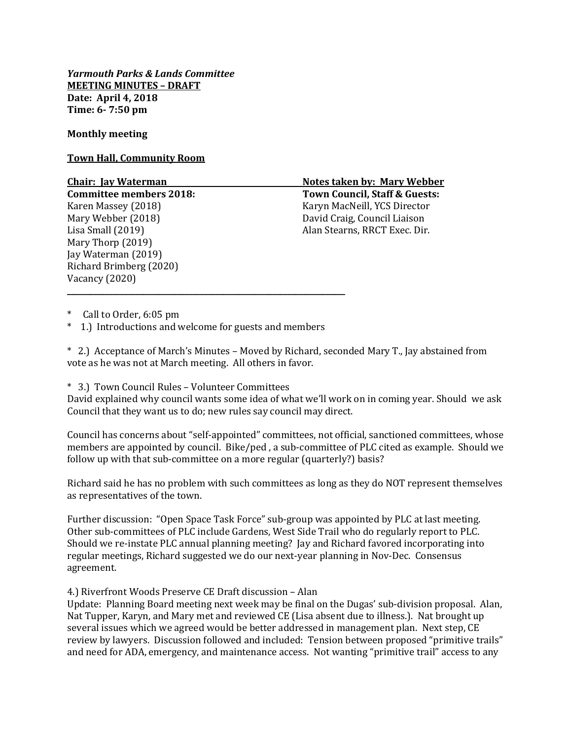*Yarmouth Parks & Lands Committee* **MEETING MINUTES – DRAFT Date: April 4, 2018 Time: 6- 7:50 pm**

## **Monthly meeting**

### **Town Hall, Community Room**

Mary Thorp (2019) Jay Waterman (2019) Richard Brimberg (2020) Vacancy (2020)

**Chair: Jay Waterman Notes taken by: Mary Webber Committee members 2018: Town Council, Staff & Guests:** Karen Massey (2018) The Controller MacNeill, YCS Director Mary Webber (2018) David Craig, Council Liaison Lisa Small (2019) Alan Stearns, RRCT Exec. Dir.

Call to Order, 6:05 pm

\* 1.) Introductions and welcome for guests and members

\_\_\_\_\_\_\_\_\_\_\_\_\_\_\_\_\_\_\_\_\_\_\_\_\_\_\_\_\_\_\_\_\_\_\_\_\_\_\_\_\_\_\_\_\_\_\_\_\_\_\_\_\_\_\_\_\_\_\_\_\_\_\_\_\_\_\_\_\_\_\_\_\_

\* 2.) Acceptance of March's Minutes – Moved by Richard, seconded Mary T., Jay abstained from vote as he was not at March meeting. All others in favor.

## \* 3.) Town Council Rules – Volunteer Committees

David explained why council wants some idea of what we'll work on in coming year. Should we ask Council that they want us to do; new rules say council may direct.

Council has concerns about "self-appointed" committees, not official, sanctioned committees, whose members are appointed by council. Bike/ped , a sub-committee of PLC cited as example. Should we follow up with that sub-committee on a more regular (quarterly?) basis?

Richard said he has no problem with such committees as long as they do NOT represent themselves as representatives of the town.

Further discussion: "Open Space Task Force" sub-group was appointed by PLC at last meeting. Other sub-committees of PLC include Gardens, West Side Trail who do regularly report to PLC. Should we re-instate PLC annual planning meeting? Jay and Richard favored incorporating into regular meetings, Richard suggested we do our next-year planning in Nov-Dec. Consensus agreement.

4.) Riverfront Woods Preserve CE Draft discussion – Alan

Update: Planning Board meeting next week may be final on the Dugas' sub-division proposal. Alan, Nat Tupper, Karyn, and Mary met and reviewed CE (Lisa absent due to illness.). Nat brought up several issues which we agreed would be better addressed in management plan. Next step, CE review by lawyers. Discussion followed and included: Tension between proposed "primitive trails" and need for ADA, emergency, and maintenance access. Not wanting "primitive trail" access to any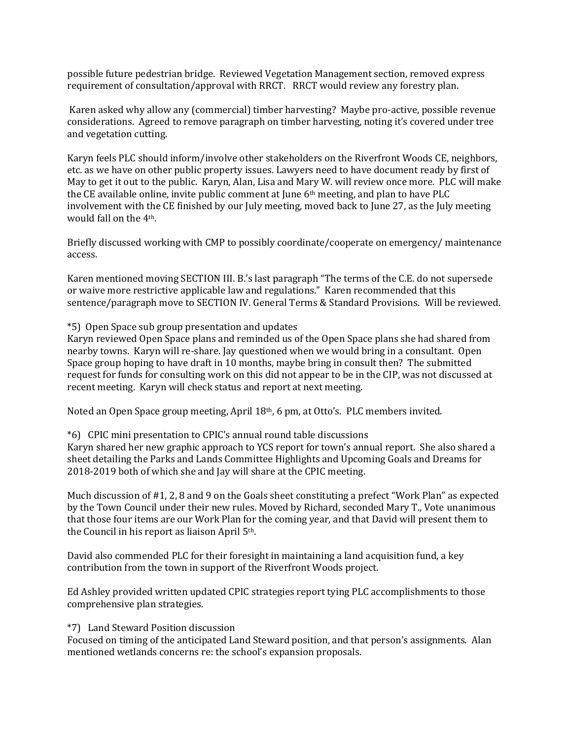possible future pedestrian bridge. Reviewed Vegetation Management section, removed express requirement of consultation/approval with RRCT. RRCT would review any forestry plan.

Karen asked why allow any (commercial) timber harvesting? Maybe pro-active, possible revenue considerations. Agreed to remove paragraph on timber harvesting, noting it's covered under tree and vegetation cutting.

Karyn feels PLC should inform/involve other stakeholders on the Riverfront Woods CE, neighbors, etc. as we have on other public property issues. Lawyers need to have document ready by first of May to get it out to the public. Karyn, Alan, Lisa and Mary W. will review once more. PLC will make the CE available online, invite public comment at June 6th meeting, and plan to have PLC involvement with the CE finished by our July meeting, moved back to June 27, as the July meeting would fall on the 4th.

Briefly discussed working with CMP to possibly coordinate/cooperate on emergency/ maintenance access.

Karen mentioned moving SECTION III. B.'s last paragraph "The terms of the C.E. do not supersede or waive more restrictive applicable law and regulations." Karen recommended that this sentence/paragraph move to SECTION IV. General Terms & Standard Provisions. Will be reviewed.

# \*5) Open Space sub group presentation and updates

Karyn reviewed Open Space plans and reminded us of the Open Space plans she had shared from nearby towns. Karyn will re-share. Jay questioned when we would bring in a consultant. Open Space group hoping to have draft in 10 months, maybe bring in consult then? The submitted request for funds for consulting work on this did not appear to be in the CIP, was not discussed at recent meeting. Karyn will check status and report at next meeting.

Noted an Open Space group meeting, April 18th, 6 pm, at Otto's. PLC members invited.

## \*6) CPIC mini presentation to CPIC's annual round table discussions

Karyn shared her new graphic approach to YCS report for town's annual report. She also shared a sheet detailing the Parks and Lands Committee Highlights and Upcoming Goals and Dreams for 2018-2019 both of which she and Jay will share at the CPIC meeting.

Much discussion of #1, 2, 8 and 9 on the Goals sheet constituting a prefect "Work Plan" as expected by the Town Council under their new rules. Moved by Richard, seconded Mary T., Vote unanimous that those four items are our Work Plan for the coming year, and that David will present them to the Council in his report as liaison April 5th.

David also commended PLC for their foresight in maintaining a land acquisition fund, a key contribution from the town in support of the Riverfront Woods project.

Ed Ashley provided written updated CPIC strategies report tying PLC accomplishments to those comprehensive plan strategies.

## \*7) Land Steward Position discussion

Focused on timing of the anticipated Land Steward position, and that person's assignments. Alan mentioned wetlands concerns re: the school's expansion proposals.